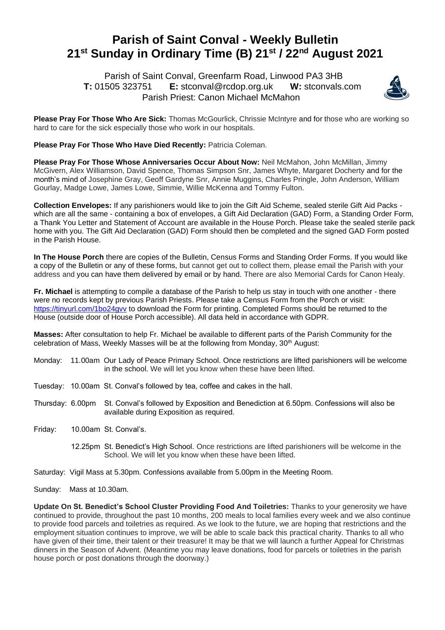## **Parish of Saint Conval - Weekly Bulletin 21st Sunday in Ordinary Time (B) 21st / 22nd August 2021**

 Parish of Saint Conval, Greenfarm Road, Linwood PA3 3HB **T:** 01505 323751 **E:** [stconval@rcdop.org.uk](mailto:stconval@rcdop.org.uk) **W:** stconvals.com Parish Priest: Canon Michael McMahon



**Please Pray For Those Who Are Sick:** Thomas McGourlick, Chrissie McIntyre and for those who are working so hard to care for the sick especially those who work in our hospitals.

**Please Pray For Those Who Have Died Recently: Patricia Coleman.** 

**Please Pray For Those Whose Anniversaries Occur About Now:** Neil McMahon, John McMillan, Jimmy McGivern, Alex Williamson, David Spence, Thomas Simpson Snr, James Whyte, Margaret Docherty and for the month's mind of Josephine Gray, Geoff Gardyne Snr, Annie Muggins, Charles Pringle, John Anderson, William Gourlay, Madge Lowe, James Lowe, Simmie, Willie McKenna and Tommy Fulton.

**Collection Envelopes:** If any parishioners would like to join the Gift Aid Scheme, sealed sterile Gift Aid Packs which are all the same - containing a box of envelopes, a Gift Aid Declaration (GAD) Form, a Standing Order Form, a Thank You Letter and Statement of Account are available in the House Porch. Please take the sealed sterile pack home with you. The Gift Aid Declaration (GAD) Form should then be completed and the signed GAD Form posted in the Parish House.

**In The House Porch** there are copies of the Bulletin, Census Forms and Standing Order Forms. If you would like a copy of the Bulletin or any of these forms, but cannot get out to collect them, please email the Parish with your address and you can have them delivered by email or by hand. There are also Memorial Cards for Canon Healy.

**Fr. Michael** is attempting to compile a database of the Parish to help us stay in touch with one another - there were no records kept by previous Parish Priests. Please take a Census Form from the Porch or visit: https://tinyurl.com/1bo24gyv to download the Form for printing. Completed Forms should be returned to the House (outside door of House Porch accessible). All data held in accordance with GDPR.

**Masses:** After consultation to help Fr. Michael be available to different parts of the Parish Community for the celebration of Mass, Weekly Masses will be at the following from Monday,  $30<sup>th</sup>$  August:

- Monday: 11.00am Our Lady of Peace Primary School. Once restrictions are lifted parishioners will be welcome in the school. We will let you know when these have been lifted.
- Tuesday: 10.00am St. Conval's followed by tea, coffee and cakes in the hall.
- Thursday: 6.00pm St. Conval's followed by Exposition and Benediction at 6.50pm. Confessions will also be available during Exposition as required.
- Friday: 10.00am St. Conval's.
	- 12.25pm St. Benedict's High School. Once restrictions are lifted parishioners will be welcome in the School. We will let you know when these have been lifted.
- Saturday: Vigil Mass at 5.30pm. Confessions available from 5.00pm in the Meeting Room.

Sunday: Mass at 10.30am.

**Update On St. Benedict's School Cluster Providing Food And Toiletries:** Thanks to your generosity we have continued to provide, throughout the past 10 months, 200 meals to local families every week and we also continue to provide food parcels and toiletries as required. As we look to the future, we are hoping that restrictions and the employment situation continues to improve, we will be able to scale back this practical charity. Thanks to all who have given of their time, their talent or their treasure! It may be that we will launch a further Appeal for Christmas dinners in the Season of Advent. (Meantime you may leave donations, food for parcels or toiletries in the parish house porch or post donations through the doorway.)